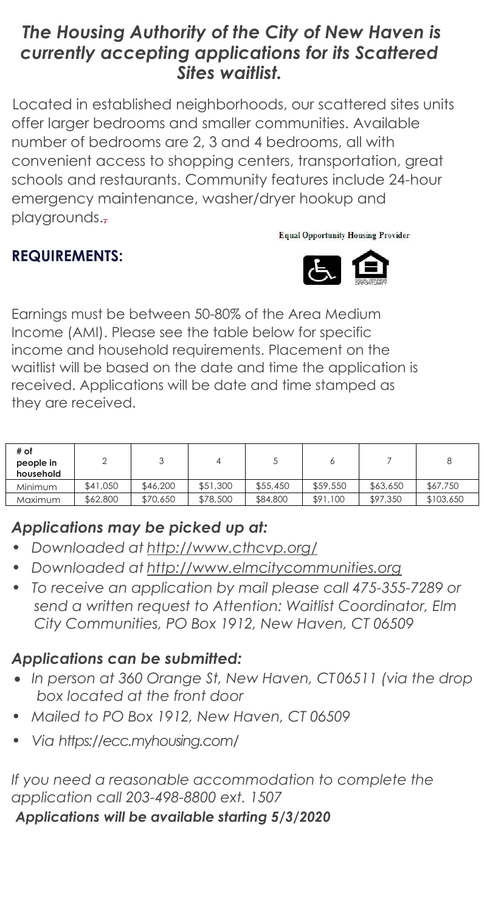# *The Housing Authority of the City of New Haven is currently accepting applications for its Scattered Sites waitlist.*

 Located in established neighborhoods, our scattered sites units offer larger bedrooms and smaller communities. Available number of bedrooms are 2, 3 and 4 bedrooms, all with convenient access to shopping centers, transportation, great schools and restaurants. Community features include 24-hour emergency maintenance, washer/dryer hookup and playgrounds.,

### **Equal Opportunity Housing Provider**

## **REQUIREMENTS:**



Earnings must be between 50-80% of the Area Medium Income (AMI). Please see the table below for specific income and household requirements. Placement on the waitlist will be based on the date and time the application is received. Applications will be date and time stamped as they are received.

| # of<br>people in<br>household |          |          |          |          |          |          |           |
|--------------------------------|----------|----------|----------|----------|----------|----------|-----------|
| Minimum                        | \$41,050 | \$46,200 | \$51,300 | \$55,450 | \$59,550 | \$63,650 | \$67,750  |
| Maximum                        | \$62,800 | \$70,650 | \$78,500 | \$84,800 | \$91,100 | \$97,350 | \$103,650 |

## *Applications may be picked up at:*

- *• Downloaded at <http://www.cthcvp.org/>*
- *• Downloaded at [http://www.elmcitycommunities.org](http://www.elmcitycommunities.org/)*
- *• To receive an application by mail please call 475-355-7289 or send a written request to Attention: Waitlist Coordinator, Elm City Communities, PO Box 1912, New Haven, CT 06509*

# *Applications can be submitted:*

- *In person at 360 Orange St, New Haven, CT06511 (via the drop box located at the front door*
- *• Mailed to PO Box 1912, New Haven, CT 06509*
- *• Via https://ecc.myhousing.com/*

### *If you need a reasonable accommodation to complete the application call 203-498-8800 ext. 1507*

*Applications will be available starting 5/3/2020*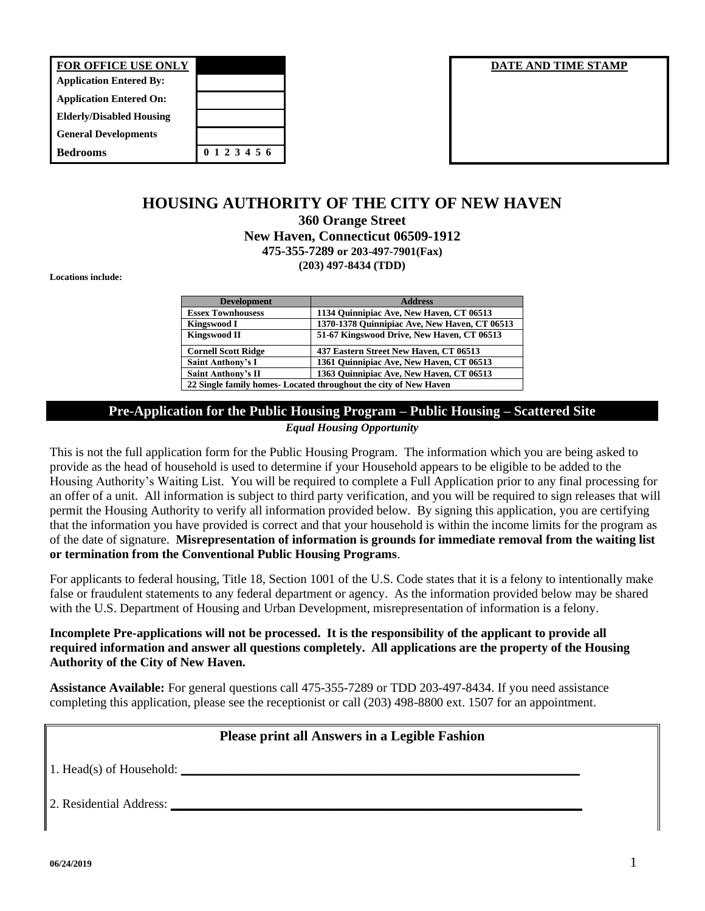| <b>FOR OFFICE USE ONLY</b>      |               |
|---------------------------------|---------------|
| <b>Application Entered By:</b>  |               |
| <b>Application Entered On:</b>  |               |
| <b>Elderly/Disabled Housing</b> |               |
| <b>General Developments</b>     |               |
| <b>Bedrooms</b>                 | 0 1 2 3 4 5 6 |

#### **DATE AND TIME STAMP**

### **HOUSING AUTHORITY OF THE CITY OF NEW HAVEN 360 Orange Street New Haven, Connecticut 06509-1912 475-355-7289 or 203-497-7901(Fax) (203) 497-8434 (TDD)**

**Locations include:**

| <b>Development</b>                                              | <b>Address</b>                                |  |  |  |
|-----------------------------------------------------------------|-----------------------------------------------|--|--|--|
| <b>Essex Townhousess</b>                                        | 1134 Quinnipiac Ave, New Haven, CT 06513      |  |  |  |
| <b>Kingswood I</b>                                              | 1370-1378 Quinnipiac Ave, New Haven, CT 06513 |  |  |  |
| <b>Kingswood II</b>                                             | 51-67 Kingswood Drive, New Haven, CT 06513    |  |  |  |
| <b>Cornell Scott Ridge</b>                                      | 437 Eastern Street New Haven, CT 06513        |  |  |  |
| <b>Saint Anthony's I</b>                                        | 1361 Quinnipiac Ave, New Haven, CT 06513      |  |  |  |
| <b>Saint Anthony's II</b>                                       | 1363 Ouinnipiac Ave, New Haven, CT 06513      |  |  |  |
| 22 Single family homes-Located throughout the city of New Haven |                                               |  |  |  |

# **Pre-Application for the Public Housing Program – Public Housing – Scattered Site**

*Equal Housing Opportunity*

This is not the full application form for the Public Housing Program. The information which you are being asked to provide as the head of household is used to determine if your Household appears to be eligible to be added to the Housing Authority's Waiting List. You will be required to complete a Full Application prior to any final processing for an offer of a unit. All information is subject to third party verification, and you will be required to sign releases that will permit the Housing Authority to verify all information provided below. By signing this application, you are certifying that the information you have provided is correct and that your household is within the income limits for the program as of the date of signature. **Misrepresentation of information is grounds for immediate removal from the waiting list or termination from the Conventional Public Housing Programs**.

For applicants to federal housing, Title 18, Section 1001 of the U.S. Code states that it is a felony to intentionally make false or fraudulent statements to any federal department or agency. As the information provided below may be shared with the U.S. Department of Housing and Urban Development, misrepresentation of information is a felony.

### **Incomplete Pre-applications will not be processed. It is the responsibility of the applicant to provide all required information and answer all questions completely. All applications are the property of the Housing Authority of the City of New Haven.**

**Assistance Available:** For general questions call 475-355-7289 or TDD 203-497-8434. If you need assistance completing this application, please see the receptionist or call (203) 498-8800 ext. 1507 for an appointment.

### **Please print all Answers in a Legible Fashion**

1. Head(s) of Household: **\_\_\_\_\_\_\_\_\_\_\_\_\_\_\_\_\_\_\_\_\_\_\_\_\_\_\_\_\_\_\_\_\_\_\_\_\_\_\_\_\_\_\_\_\_\_\_\_\_\_\_\_\_\_\_\_\_\_\_\_\_\_\_**

2. Residential Address: **\_\_\_\_\_\_\_\_\_\_\_\_\_\_\_\_\_\_\_\_\_\_\_\_\_\_\_\_\_\_\_\_\_\_\_\_\_\_\_\_\_\_\_\_\_\_\_\_\_\_\_\_\_\_\_\_\_\_\_\_\_\_\_\_\_**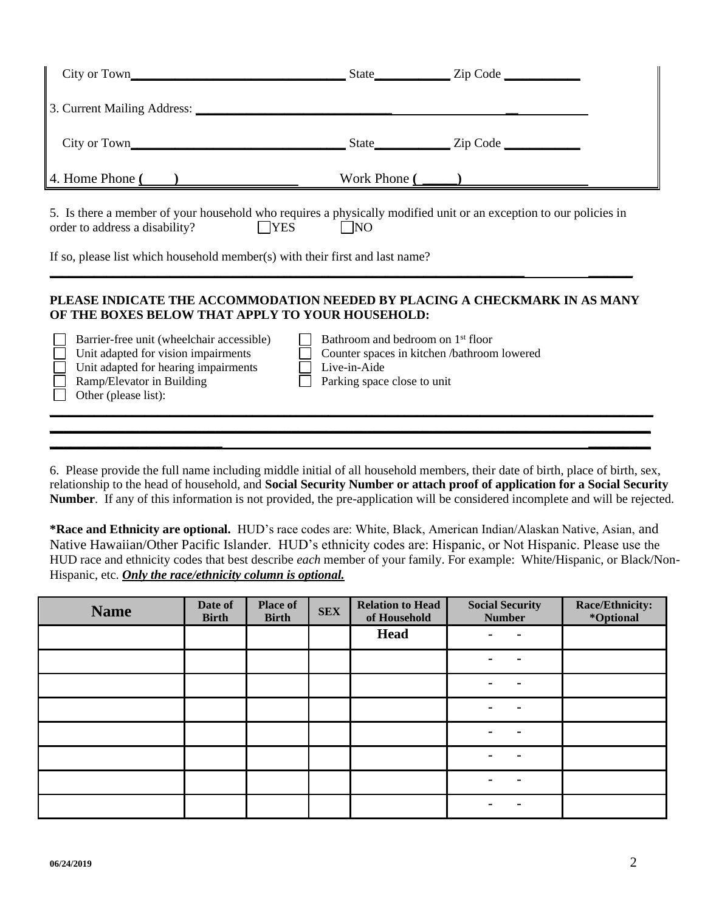| 4. Home Phone $\overline{(\ )}$                                                                                                                                                |                                                                                                                                                        | Work Phone $\overline{(\phantom{a})}$ |  |  |  |  |  |
|--------------------------------------------------------------------------------------------------------------------------------------------------------------------------------|--------------------------------------------------------------------------------------------------------------------------------------------------------|---------------------------------------|--|--|--|--|--|
| 5. Is there a member of your household who requires a physically modified unit or an exception to our policies in<br>$\Box$ YES<br>order to address a disability?<br>$\Box$ NO |                                                                                                                                                        |                                       |  |  |  |  |  |
| If so, please list which household member(s) with their first and last name?                                                                                                   |                                                                                                                                                        |                                       |  |  |  |  |  |
| PLEASE INDICATE THE ACCOMMODATION NEEDED BY PLACING A CHECKMARK IN AS MANY<br>OF THE BOXES BELOW THAT APPLY TO YOUR HOUSEHOLD:                                                 |                                                                                                                                                        |                                       |  |  |  |  |  |
| Barrier-free unit (wheelchair accessible)<br>Unit adapted for vision impairments<br>Unit adapted for hearing impairments<br>Ramp/Elevator in Building<br>Other (please list):  | Bathroom and bedroom on 1 <sup>st</sup> floor<br>$\perp$<br>Counter spaces in kitchen /bathroom lowered<br>Live-in-Aide<br>Parking space close to unit |                                       |  |  |  |  |  |
|                                                                                                                                                                                |                                                                                                                                                        |                                       |  |  |  |  |  |

6. Please provide the full name including middle initial of all household members, their date of birth, place of birth, sex, relationship to the head of household, and **Social Security Number or attach proof of application for a Social Security Number**. If any of this information is not provided, the pre-application will be considered incomplete and will be rejected.

**\*Race and Ethnicity are optional.** HUD's race codes are: White, Black, American Indian/Alaskan Native, Asian, and Native Hawaiian/Other Pacific Islander. HUD's ethnicity codes are: Hispanic, or Not Hispanic. Please use the HUD race and ethnicity codes that best describe *each* member of your family. For example: White/Hispanic, or Black/Non-Hispanic, etc. *Only the race/ethnicity column is optional.*

| <b>Name</b> | Date of<br><b>Birth</b> | <b>Place of</b><br><b>Birth</b> | <b>SEX</b> | <b>Relation to Head</b><br>of Household | <b>Social Security</b><br><b>Number</b> | Race/Ethnicity:<br>*Optional |
|-------------|-------------------------|---------------------------------|------------|-----------------------------------------|-----------------------------------------|------------------------------|
|             |                         |                                 |            | <b>Head</b>                             | ٠                                       |                              |
|             |                         |                                 |            |                                         | ٠                                       |                              |
|             |                         |                                 |            |                                         | $\blacksquare$<br>$\blacksquare$        |                              |
|             |                         |                                 |            |                                         | $\blacksquare$<br>$\blacksquare$        |                              |
|             |                         |                                 |            |                                         | $\blacksquare$<br>$\blacksquare$        |                              |
|             |                         |                                 |            |                                         | $\blacksquare$<br>$\blacksquare$        |                              |
|             |                         |                                 |            |                                         | $\blacksquare$<br>$\blacksquare$        |                              |
|             |                         |                                 |            |                                         | $\blacksquare$                          |                              |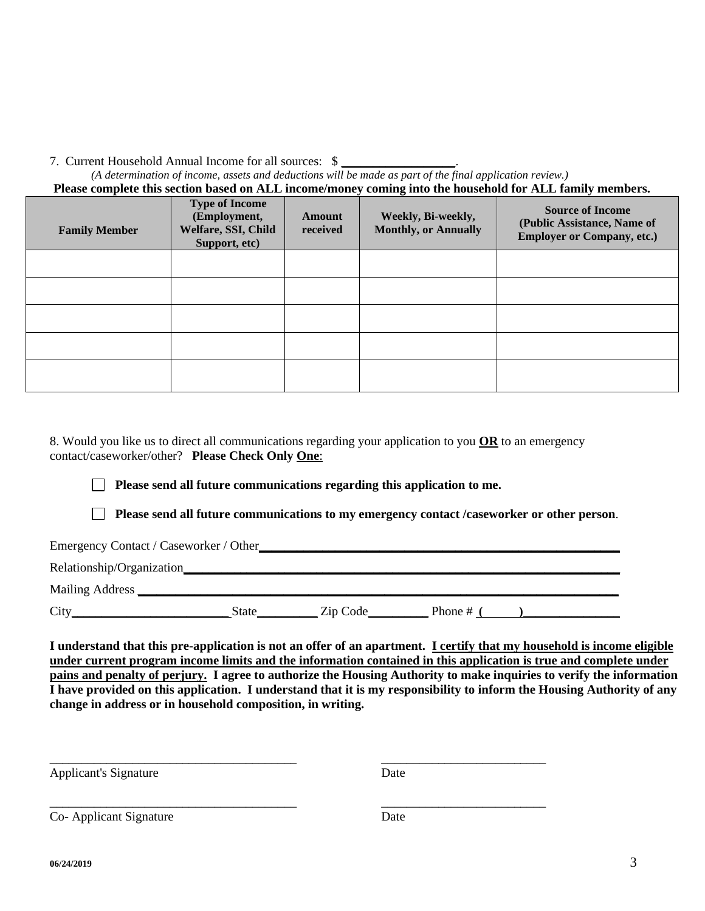7. Current Household Annual Income for all sources: \$ **\_\_\_\_\_\_\_\_\_\_\_\_\_\_\_\_\_\_**. *(A determination of income, assets and deductions will be made as part of the final application review.)* **Please complete this section based on ALL income/money coming into the household for ALL family members. Type of Income**

| <b>Family Member</b> | туре от пісоше<br>(Employment,<br>Welfare, SSI, Child<br>Support, etc) | <b>Amount</b><br>received | Weekly, Bi-weekly,<br><b>Monthly, or Annually</b> | <b>Source of Income</b><br>(Public Assistance, Name of<br><b>Employer or Company, etc.)</b> |
|----------------------|------------------------------------------------------------------------|---------------------------|---------------------------------------------------|---------------------------------------------------------------------------------------------|
|                      |                                                                        |                           |                                                   |                                                                                             |
|                      |                                                                        |                           |                                                   |                                                                                             |
|                      |                                                                        |                           |                                                   |                                                                                             |
|                      |                                                                        |                           |                                                   |                                                                                             |
|                      |                                                                        |                           |                                                   |                                                                                             |

8. Would you like us to direct all communications regarding your application to you **OR** to an emergency contact/caseworker/other? **Please Check Only One**:

**Please send all future communications regarding this application to me.**

\_\_\_\_\_\_\_\_\_\_\_\_\_\_\_\_\_\_\_\_\_\_\_\_\_\_\_\_\_\_\_\_\_\_\_\_\_\_\_ \_\_\_\_\_\_\_\_\_\_\_\_\_\_\_\_\_\_\_\_\_\_\_\_\_\_

\_\_\_\_\_\_\_\_\_\_\_\_\_\_\_\_\_\_\_\_\_\_\_\_\_\_\_\_\_\_\_\_\_\_\_\_\_\_\_ \_\_\_\_\_\_\_\_\_\_\_\_\_\_\_\_\_\_\_\_\_\_\_\_\_\_

**Please send all future communications to my emergency contact /caseworker or other person**.

Emergency Contact / Caseworker / Other

Relationship/Organization**\_\_\_\_\_\_\_\_\_\_\_\_\_\_\_\_\_\_\_\_\_\_\_\_\_\_\_\_\_\_\_\_\_\_\_\_\_\_\_\_\_\_\_\_\_\_\_\_\_\_\_\_\_\_\_\_\_\_\_\_\_\_\_\_\_\_\_\_\_** 

Mailing Address **\_\_\_\_\_\_\_\_\_\_\_\_\_\_\_\_\_\_\_\_\_\_\_\_\_\_\_\_\_\_\_\_\_\_\_\_\_\_\_\_\_\_\_\_\_\_\_\_\_\_\_\_\_\_\_\_\_\_\_\_\_\_\_\_\_\_\_\_\_\_\_\_\_\_\_\_**

City Code **City City Code City Code City Code City Code City Code City Code City Code City Code City Code City Code City Code City Code City Code City Code City C** 

**I understand that this pre-application is not an offer of an apartment. I certify that my household is income eligible under current program income limits and the information contained in this application is true and complete under pains and penalty of perjury. I agree to authorize the Housing Authority to make inquiries to verify the information I have provided on this application. I understand that it is my responsibility to inform the Housing Authority of any change in address or in household composition, in writing.** 

Applicant's Signature Date

Co- Applicant Signature Date